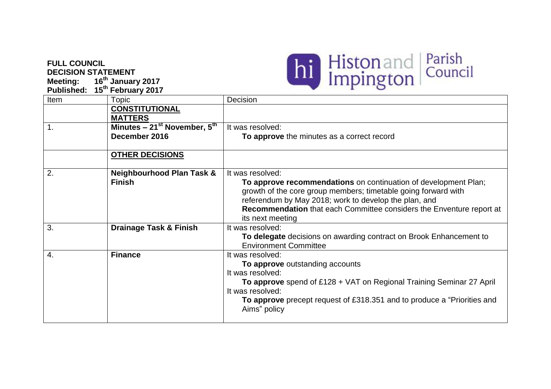## **FULL COUNCIL DECISION STATEMENT**

**Meeting: 16th January 2017 Published: 15 th February 2017**



| Item | <b>Topic</b>                                          | Decision                                                                                                                                                                                                                                                                                                   |
|------|-------------------------------------------------------|------------------------------------------------------------------------------------------------------------------------------------------------------------------------------------------------------------------------------------------------------------------------------------------------------------|
|      | <b>CONSTITUTIONAL</b><br><b>MATTERS</b>               |                                                                                                                                                                                                                                                                                                            |
| 1.   | Minutes $-21st$ November, $5th$<br>December 2016      | It was resolved:<br>To approve the minutes as a correct record                                                                                                                                                                                                                                             |
|      |                                                       |                                                                                                                                                                                                                                                                                                            |
|      | <b>OTHER DECISIONS</b>                                |                                                                                                                                                                                                                                                                                                            |
| 2.   | <b>Neighbourhood Plan Task &amp;</b><br><b>Finish</b> | It was resolved:<br>To approve recommendations on continuation of development Plan;<br>growth of the core group members; timetable going forward with<br>referendum by May 2018; work to develop the plan, and<br>Recommendation that each Committee considers the Enventure report at<br>its next meeting |
| 3.   | <b>Drainage Task &amp; Finish</b>                     | It was resolved:<br>To delegate decisions on awarding contract on Brook Enhancement to<br><b>Environment Committee</b>                                                                                                                                                                                     |
| 4.   | <b>Finance</b>                                        | It was resolved:<br>To approve outstanding accounts<br>It was resolved:<br>To approve spend of £128 + VAT on Regional Training Seminar 27 April<br>It was resolved:<br>To approve precept request of £318.351 and to produce a "Priorities and<br>Aims" policy                                             |